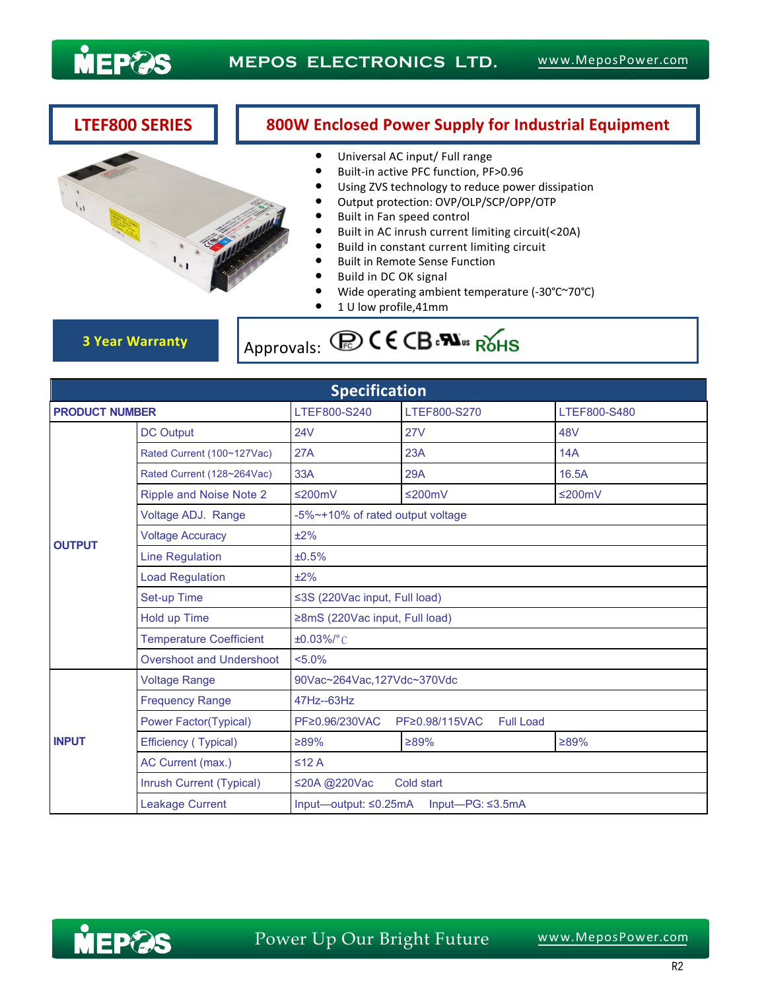

## **LTEF800 SERIES 800W Enclosed Power Supply for Industrial Equipment**

- Universal AC input/ Full range<br>● Built-in active PFC function. PF
- Built-in active PFC function, PF>0.96<br>● Using ZVS technology to reduce now Using ZVS technology to reduce power dissipation
- Output protection: OVP/OLP/SCP/OPP/OTP
- Built in Fan speed control
- Built in AC inrush current limiting circuit(<20A)<br>● Build in constant current limiting circuit
- Build in constant current limiting circuit<br>● Built in Remote Sense Function
- Built in Remote Sense Function<br>• Build in DC OK signal
- Build in DC OK signal
- Wide operating ambient temperature (-30°C~70°C)
- $\bullet$  1 U low profile,41mm

**3 Year Warranty Approvals: COCE CB** PU<sub>ss</sub> ROHS

| <b>Specification</b>  |                                |                                                         |                                    |              |  |
|-----------------------|--------------------------------|---------------------------------------------------------|------------------------------------|--------------|--|
| <b>PRODUCT NUMBER</b> |                                | LTEF800-S240                                            | LTEF800-S270                       | LTEF800-S480 |  |
| <b>OUTPUT</b>         | <b>DC Output</b>               | 24V                                                     | <b>27V</b>                         | 48V          |  |
|                       | Rated Current (100~127Vac)     | 27A                                                     | 23A                                | 14A          |  |
|                       | Rated Current (128~264Vac)     | 33A                                                     | <b>29A</b>                         | 16.5A        |  |
|                       | Ripple and Noise Note 2        | ≤200mV                                                  | ≤200mV                             | ≤200mV       |  |
|                       | Voltage ADJ. Range             | -5%~+10% of rated output voltage                        |                                    |              |  |
|                       | <b>Voltage Accuracy</b>        | ±2%                                                     |                                    |              |  |
|                       | <b>Line Regulation</b>         | ±0.5%                                                   |                                    |              |  |
|                       | <b>Load Regulation</b>         | ±2%                                                     |                                    |              |  |
|                       | Set-up Time                    | ≤3S (220Vac input, Full load)                           |                                    |              |  |
|                       | Hold up Time                   | ≥8mS (220Vac input, Full load)                          |                                    |              |  |
|                       | <b>Temperature Coefficient</b> | $±0.03\%/°$ C                                           |                                    |              |  |
|                       | Overshoot and Undershoot       | $< 5.0\%$                                               |                                    |              |  |
| <b>INPUT</b>          | <b>Voltage Range</b>           | 90Vac~264Vac,127Vdc~370Vdc                              |                                    |              |  |
|                       | <b>Frequency Range</b>         | 47Hz--63Hz                                              |                                    |              |  |
|                       | <b>Power Factor(Typical)</b>   | PF≥0.96/230VAC                                          | PF≥0.98/115VAC<br><b>Full Load</b> |              |  |
|                       | Efficiency (Typical)           | ≥89%                                                    | $>89\%$                            | ≥89%         |  |
|                       | AC Current (max.)              | $\leq 12$ A                                             |                                    |              |  |
|                       | Inrush Current (Typical)       | ≤20A @220Vac<br>Cold start                              |                                    |              |  |
|                       | <b>Leakage Current</b>         | Input—output: $\leq 0.25$ mA<br>Input— $PG: \leq 3.5mA$ |                                    |              |  |

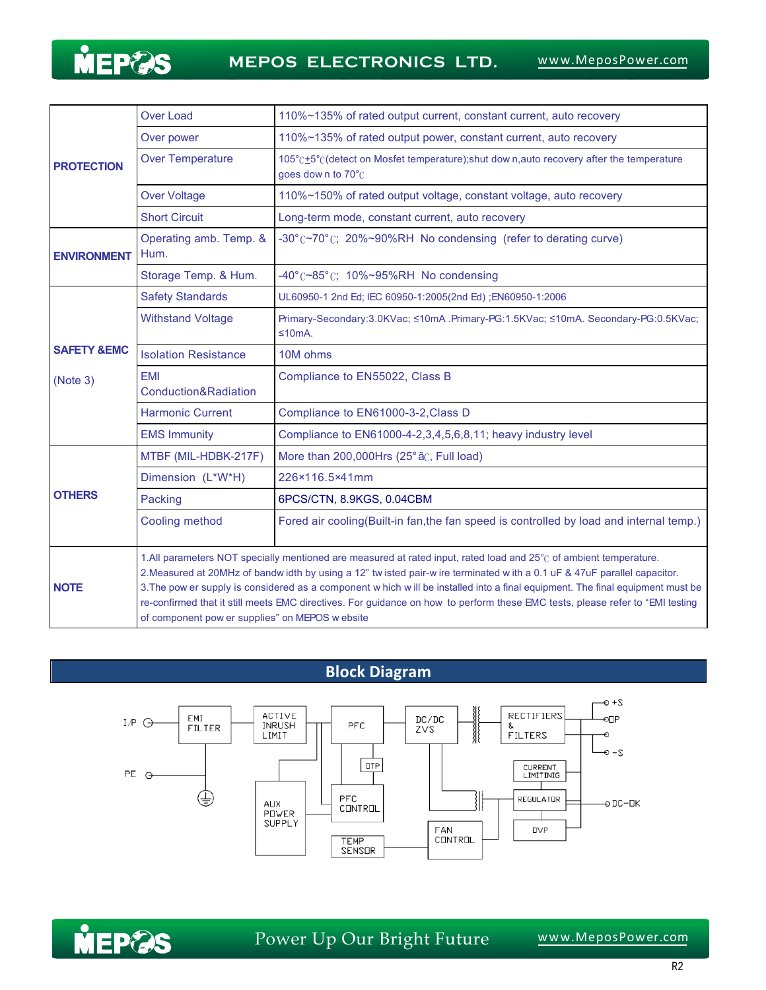

| <b>PROTECTION</b><br><b>ENVIRONMENT</b><br><b>SAFETY &amp;EMC</b><br>(Note 3) | <b>Over Load</b>                                                                                                                                                                                                                                                                                                                                                                                                                                                                                                                                                     | 110%~135% of rated output current, constant current, auto recovery                                           |  |
|-------------------------------------------------------------------------------|----------------------------------------------------------------------------------------------------------------------------------------------------------------------------------------------------------------------------------------------------------------------------------------------------------------------------------------------------------------------------------------------------------------------------------------------------------------------------------------------------------------------------------------------------------------------|--------------------------------------------------------------------------------------------------------------|--|
|                                                                               | Over power                                                                                                                                                                                                                                                                                                                                                                                                                                                                                                                                                           | 110%~135% of rated output power, constant current, auto recovery                                             |  |
|                                                                               | <b>Over Temperature</b>                                                                                                                                                                                                                                                                                                                                                                                                                                                                                                                                              | 105°C+5°C(detect on Mosfet temperature); shut down, auto recovery after the temperature<br>goes down to 70°C |  |
|                                                                               | <b>Over Voltage</b>                                                                                                                                                                                                                                                                                                                                                                                                                                                                                                                                                  | 110%~150% of rated output voltage, constant voltage, auto recovery                                           |  |
|                                                                               | <b>Short Circuit</b>                                                                                                                                                                                                                                                                                                                                                                                                                                                                                                                                                 | Long-term mode, constant current, auto recovery                                                              |  |
|                                                                               | Operating amb. Temp. &<br>Hum.                                                                                                                                                                                                                                                                                                                                                                                                                                                                                                                                       | -30°C~70°C; 20%~90%RH No condensing (refer to derating curve)                                                |  |
|                                                                               | Storage Temp. & Hum.                                                                                                                                                                                                                                                                                                                                                                                                                                                                                                                                                 | $-40^{\circ}$ ( $\sim$ 85 $^{\circ}$ C; 10% $\sim$ 95%RH No condensing                                       |  |
|                                                                               | <b>Safety Standards</b>                                                                                                                                                                                                                                                                                                                                                                                                                                                                                                                                              | UL60950-1 2nd Ed; IEC 60950-1:2005(2nd Ed) ; EN60950-1:2006                                                  |  |
|                                                                               | <b>Withstand Voltage</b>                                                                                                                                                                                                                                                                                                                                                                                                                                                                                                                                             | Primary-Secondary:3.0KVac; ≤10mA .Primary-PG:1.5KVac; ≤10mA. Secondary-PG:0.5KVac;<br>≤10mA.                 |  |
|                                                                               | <b>Isolation Resistance</b>                                                                                                                                                                                                                                                                                                                                                                                                                                                                                                                                          | 10M ohms                                                                                                     |  |
|                                                                               | <b>FMI</b><br>Conduction&Radiation                                                                                                                                                                                                                                                                                                                                                                                                                                                                                                                                   | Compliance to EN55022, Class B                                                                               |  |
|                                                                               | <b>Harmonic Current</b>                                                                                                                                                                                                                                                                                                                                                                                                                                                                                                                                              | Compliance to EN61000-3-2, Class D                                                                           |  |
|                                                                               | <b>EMS Immunity</b>                                                                                                                                                                                                                                                                                                                                                                                                                                                                                                                                                  | Compliance to EN61000-4-2,3,4,5,6,8,11; heavy industry level                                                 |  |
| <b>OTHERS</b>                                                                 | MTBF (MIL-HDBK-217F)                                                                                                                                                                                                                                                                                                                                                                                                                                                                                                                                                 | More than 200,000Hrs (25° ãC, Full load)                                                                     |  |
|                                                                               | Dimension (L*W*H)                                                                                                                                                                                                                                                                                                                                                                                                                                                                                                                                                    | 226×116.5×41mm                                                                                               |  |
|                                                                               | Packing                                                                                                                                                                                                                                                                                                                                                                                                                                                                                                                                                              | 6PCS/CTN, 8.9KGS, 0.04CBM                                                                                    |  |
|                                                                               | Cooling method                                                                                                                                                                                                                                                                                                                                                                                                                                                                                                                                                       | Fored air cooling(Built-in fan, the fan speed is controlled by load and internal temp.)                      |  |
| <b>NOTE</b>                                                                   | 1. All parameters NOT specially mentioned are measured at rated input, rated load and 25°C of ambient temperature.<br>2. Measured at 20MHz of bandw idth by using a 12" twisted pair-wire terminated with a 0.1 uF & 47uF parallel capacitor.<br>3. The pow er supply is considered as a component w hich w ill be installed into a final equipment. The final equipment must be<br>re-confirmed that it still meets EMC directives. For guidance on how to perform these EMC tests, please refer to "EMI testing<br>of component pow er supplies" on MEPOS w ebsite |                                                                                                              |  |

# **Block Diagram**